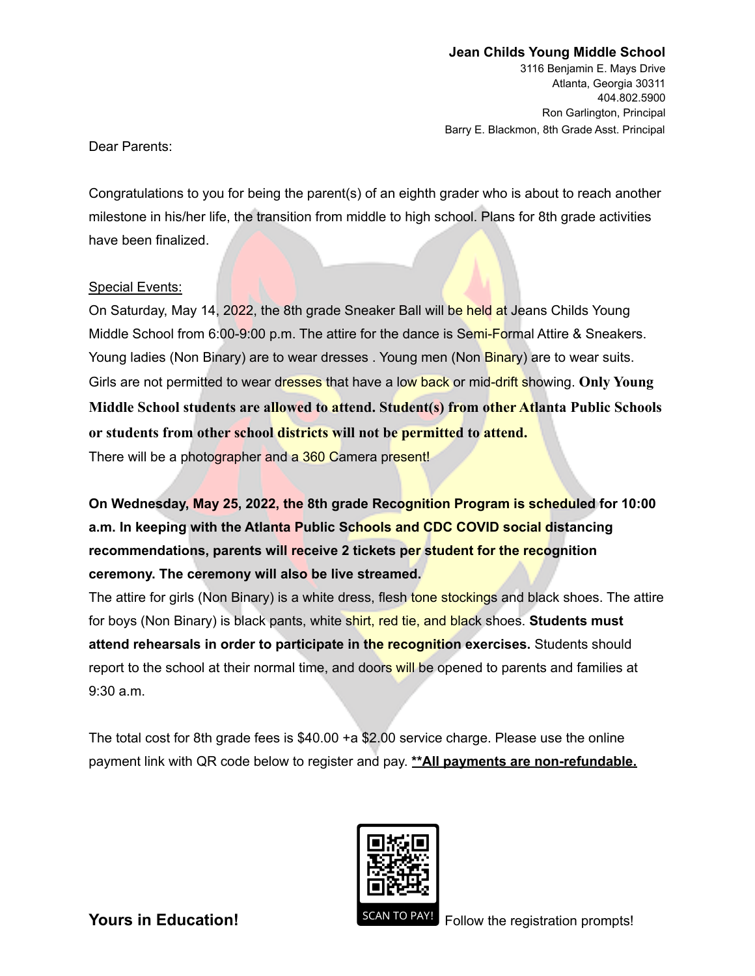3116 Benjamin E. Mays Drive Atlanta, Georgia 30311 404.802.5900 Ron Garlington, Principal Barry E. Blackmon, 8th Grade Asst. Principal

Dear Parents:

Congratulations to you for being the parent(s) of an eighth grader who is about to reach another milestone in his/her life, the transition from middle to high school. Plans for 8th grade activities have been finalized.

## Special Events:

On Saturday, May 14, 2022, the 8th grade Sneaker Ball will be held at Jeans Childs Young Middle School from 6:00-9:00 p.m. The attire for the dance is Semi-Formal Attire & Sneakers. Young ladies (Non Binary) are to wear dresses . Young men (Non Binary) are to wear suits. Girls are not permitted to wear dresses that have a low back or mid-drift showing. **Only Young Middle School students are allowed to attend. Student(s) from other Atlanta Public Schools or students from other school districts will not be permitted to attend.**

There will be a photographer and a 360 Camera present!

**On Wednesday, May 25, 2022, the 8th grade Recognition Program is scheduled for 10:00 a.m. In keeping with the Atlanta Public Schools and CDC COVID social distancing recommendations, parents will receive 2 tickets per student for the recognition ceremony. The ceremony will also be live streamed.**

The attire for girls (Non Binary) is a white dress, flesh tone stockings and black shoes. The attire for boys (Non Binary) is black pants, white shirt, red tie, and black shoes. **Students must attend rehearsals in order to participate in the recognition exercises.** Students should report to the school at their normal time, and doors will be opened to parents and families at 9:30 a.m.

The total cost for 8th grade fees is \$40.00 +a \$2.00 service charge. Please use the online payment link with QR code below to register and pay. **\*\*All payments are non-refundable.**



**Yours in Education!** SCAN TO PAY! Follow the registration prompts!